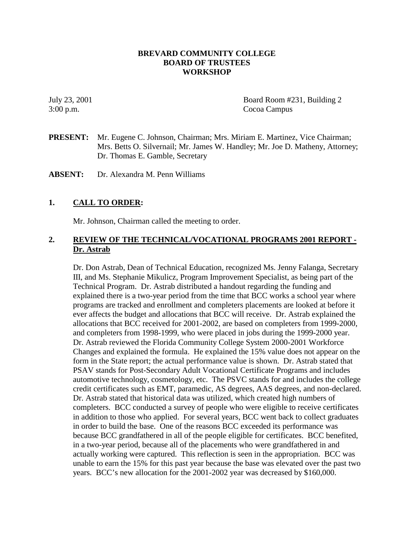## **BREVARD COMMUNITY COLLEGE BOARD OF TRUSTEES WORKSHOP**

July 23, 2001 Board Room #231, Building 2 3:00 p.m. Cocoa Campus

**PRESENT:** Mr. Eugene C. Johnson, Chairman; Mrs. Miriam E. Martinez, Vice Chairman; Mrs. Betts O. Silvernail; Mr. James W. Handley; Mr. Joe D. Matheny, Attorney; Dr. Thomas E. Gamble, Secretary

**ABSENT:** Dr. Alexandra M. Penn Williams

## **1. CALL TO ORDER:**

Mr. Johnson, Chairman called the meeting to order.

## **2. REVIEW OF THE TECHNICAL/VOCATIONAL PROGRAMS 2001 REPORT - Dr. Astrab**

Dr. Don Astrab, Dean of Technical Education, recognized Ms. Jenny Falanga, Secretary III, and Ms. Stephanie Mikulicz, Program Improvement Specialist, as being part of the Technical Program. Dr. Astrab distributed a handout regarding the funding and explained there is a two-year period from the time that BCC works a school year where programs are tracked and enrollment and completers placements are looked at before it ever affects the budget and allocations that BCC will receive. Dr. Astrab explained the allocations that BCC received for 2001-2002, are based on completers from 1999-2000, and completers from 1998-1999, who were placed in jobs during the 1999-2000 year. Dr. Astrab reviewed the Florida Community College System 2000-2001 Workforce Changes and explained the formula. He explained the 15% value does not appear on the form in the State report; the actual performance value is shown. Dr. Astrab stated that PSAV stands for Post-Secondary Adult Vocational Certificate Programs and includes automotive technology, cosmetology, etc. The PSVC stands for and includes the college credit certificates such as EMT, paramedic, AS degrees, AAS degrees, and non-declared. Dr. Astrab stated that historical data was utilized, which created high numbers of completers. BCC conducted a survey of people who were eligible to receive certificates in addition to those who applied. For several years, BCC went back to collect graduates in order to build the base. One of the reasons BCC exceeded its performance was because BCC grandfathered in all of the people eligible for certificates. BCC benefited, in a two-year period, because all of the placements who were grandfathered in and actually working were captured. This reflection is seen in the appropriation. BCC was unable to earn the 15% for this past year because the base was elevated over the past two years. BCC's new allocation for the 2001-2002 year was decreased by \$160,000.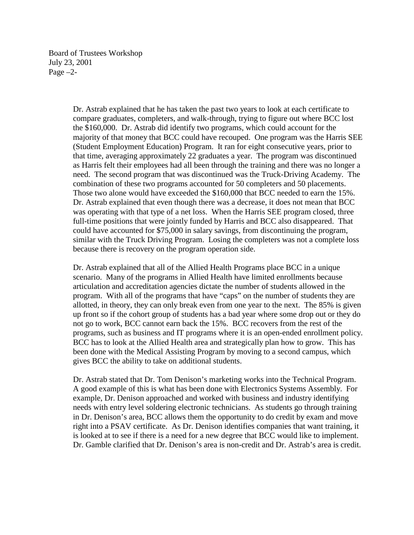Board of Trustees Workshop July 23, 2001 Page –2-

> Dr. Astrab explained that he has taken the past two years to look at each certificate to compare graduates, completers, and walk-through, trying to figure out where BCC lost the \$160,000. Dr. Astrab did identify two programs, which could account for the majority of that money that BCC could have recouped. One program was the Harris SEE (Student Employment Education) Program. It ran for eight consecutive years, prior to that time, averaging approximately 22 graduates a year. The program was discontinued as Harris felt their employees had all been through the training and there was no longer a need. The second program that was discontinued was the Truck-Driving Academy. The combination of these two programs accounted for 50 completers and 50 placements. Those two alone would have exceeded the \$160,000 that BCC needed to earn the 15%. Dr. Astrab explained that even though there was a decrease, it does not mean that BCC was operating with that type of a net loss. When the Harris SEE program closed, three full-time positions that were jointly funded by Harris and BCC also disappeared. That could have accounted for \$75,000 in salary savings, from discontinuing the program, similar with the Truck Driving Program. Losing the completers was not a complete loss because there is recovery on the program operation side.

> Dr. Astrab explained that all of the Allied Health Programs place BCC in a unique scenario. Many of the programs in Allied Health have limited enrollments because articulation and accreditation agencies dictate the number of students allowed in the program. With all of the programs that have "caps" on the number of students they are allotted, in theory, they can only break even from one year to the next. The 85% is given up front so if the cohort group of students has a bad year where some drop out or they do not go to work, BCC cannot earn back the 15%. BCC recovers from the rest of the programs, such as business and IT programs where it is an open-ended enrollment policy. BCC has to look at the Allied Health area and strategically plan how to grow. This has been done with the Medical Assisting Program by moving to a second campus, which gives BCC the ability to take on additional students.

> Dr. Astrab stated that Dr. Tom Denison's marketing works into the Technical Program. A good example of this is what has been done with Electronics Systems Assembly. For example, Dr. Denison approached and worked with business and industry identifying needs with entry level soldering electronic technicians. As students go through training in Dr. Denison's area, BCC allows them the opportunity to do credit by exam and move right into a PSAV certificate. As Dr. Denison identifies companies that want training, it is looked at to see if there is a need for a new degree that BCC would like to implement. Dr. Gamble clarified that Dr. Denison's area is non-credit and Dr. Astrab's area is credit.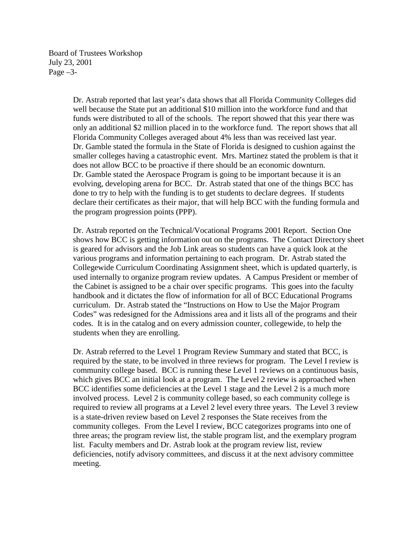Board of Trustees Workshop July 23, 2001 Page –3-

> Dr. Astrab reported that last year's data shows that all Florida Community Colleges did well because the State put an additional \$10 million into the workforce fund and that funds were distributed to all of the schools. The report showed that this year there was only an additional \$2 million placed in to the workforce fund. The report shows that all Florida Community Colleges averaged about 4% less than was received last year. Dr. Gamble stated the formula in the State of Florida is designed to cushion against the smaller colleges having a catastrophic event. Mrs. Martinez stated the problem is that it does not allow BCC to be proactive if there should be an economic downturn. Dr. Gamble stated the Aerospace Program is going to be important because it is an evolving, developing arena for BCC. Dr. Astrab stated that one of the things BCC has done to try to help with the funding is to get students to declare degrees. If students declare their certificates as their major, that will help BCC with the funding formula and the program progression points (PPP).

Dr. Astrab reported on the Technical/Vocational Programs 2001 Report. Section One shows how BCC is getting information out on the programs. The Contact Directory sheet is geared for advisors and the Job Link areas so students can have a quick look at the various programs and information pertaining to each program. Dr. Astrab stated the Collegewide Curriculum Coordinating Assignment sheet, which is updated quarterly, is used internally to organize program review updates. A Campus President or member of the Cabinet is assigned to be a chair over specific programs. This goes into the faculty handbook and it dictates the flow of information for all of BCC Educational Programs curriculum. Dr. Astrab stated the "Instructions on How to Use the Major Program Codes" was redesigned for the Admissions area and it lists all of the programs and their codes. It is in the catalog and on every admission counter, collegewide, to help the students when they are enrolling.

Dr. Astrab referred to the Level 1 Program Review Summary and stated that BCC, is required by the state, to be involved in three reviews for program. The Level I review is community college based. BCC is running these Level 1 reviews on a continuous basis, which gives BCC an initial look at a program. The Level 2 review is approached when BCC identifies some deficiencies at the Level 1 stage and the Level 2 is a much more involved process. Level 2 is community college based, so each community college is required to review all programs at a Level 2 level every three years. The Level 3 review is a state-driven review based on Level 2 responses the State receives from the community colleges. From the Level I review, BCC categorizes programs into one of three areas; the program review list, the stable program list, and the exemplary program list. Faculty members and Dr. Astrab look at the program review list, review deficiencies, notify advisory committees, and discuss it at the next advisory committee meeting.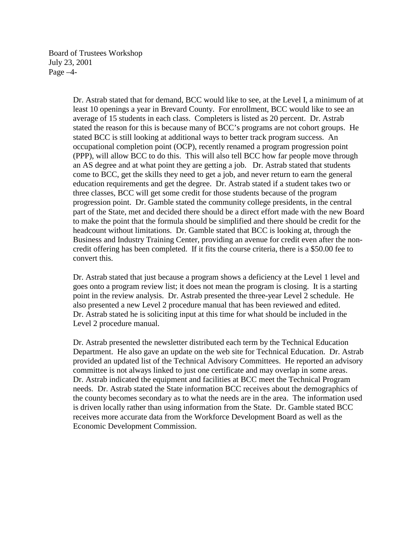Board of Trustees Workshop July 23, 2001 Page –4-

> Dr. Astrab stated that for demand, BCC would like to see, at the Level I, a minimum of at least 10 openings a year in Brevard County. For enrollment, BCC would like to see an average of 15 students in each class. Completers is listed as 20 percent. Dr. Astrab stated the reason for this is because many of BCC's programs are not cohort groups. He stated BCC is still looking at additional ways to better track program success. An occupational completion point (OCP), recently renamed a program progression point (PPP), will allow BCC to do this. This will also tell BCC how far people move through an AS degree and at what point they are getting a job. Dr. Astrab stated that students come to BCC, get the skills they need to get a job, and never return to earn the general education requirements and get the degree. Dr. Astrab stated if a student takes two or three classes, BCC will get some credit for those students because of the program progression point. Dr. Gamble stated the community college presidents, in the central part of the State, met and decided there should be a direct effort made with the new Board to make the point that the formula should be simplified and there should be credit for the headcount without limitations. Dr. Gamble stated that BCC is looking at, through the Business and Industry Training Center, providing an avenue for credit even after the noncredit offering has been completed. If it fits the course criteria, there is a \$50.00 fee to convert this.

Dr. Astrab stated that just because a program shows a deficiency at the Level 1 level and goes onto a program review list; it does not mean the program is closing. It is a starting point in the review analysis. Dr. Astrab presented the three-year Level 2 schedule. He also presented a new Level 2 procedure manual that has been reviewed and edited. Dr. Astrab stated he is soliciting input at this time for what should be included in the Level 2 procedure manual.

Dr. Astrab presented the newsletter distributed each term by the Technical Education Department. He also gave an update on the web site for Technical Education. Dr. Astrab provided an updated list of the Technical Advisory Committees. He reported an advisory committee is not always linked to just one certificate and may overlap in some areas. Dr. Astrab indicated the equipment and facilities at BCC meet the Technical Program needs. Dr. Astrab stated the State information BCC receives about the demographics of the county becomes secondary as to what the needs are in the area. The information used is driven locally rather than using information from the State. Dr. Gamble stated BCC receives more accurate data from the Workforce Development Board as well as the Economic Development Commission.